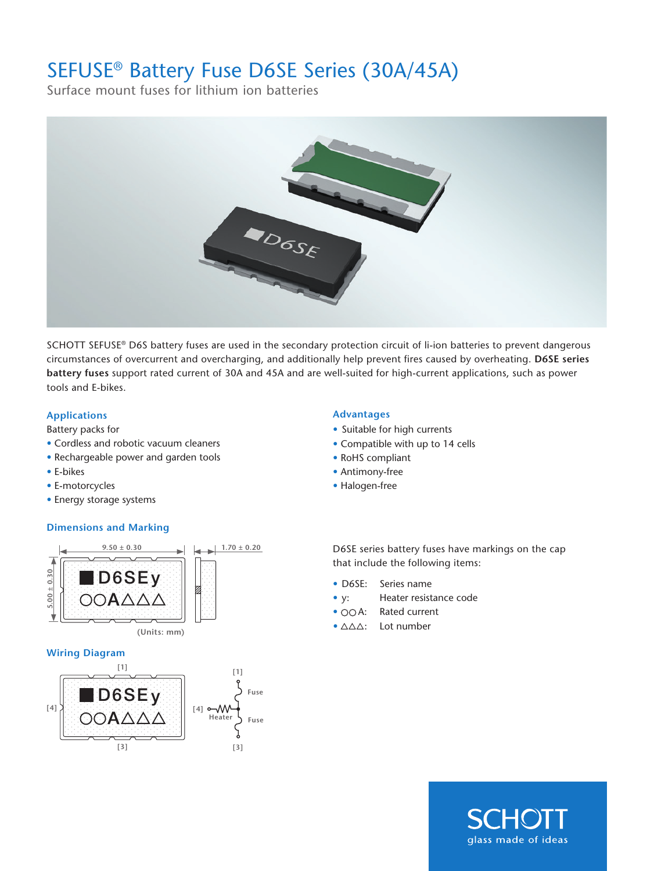## SEFUSE® Battery Fuse D6SE Series (30A/45A)

Surface mount fuses for lithium ion batteries



SCHOTT SEFUSE® D6S battery fuses are used in the secondary protection circuit of li-ion batteries to prevent dangerous circumstances of overcurrent and overcharging, and additionally help prevent fires caused by overheating. **D6SE series battery fuses** support rated current of 30A and 45A and are well-suited for high-current applications, such as power tools and E-bikes.

## **Applications Advantages**

Battery packs for

- Cordless and robotic vacuum cleaners
- Rechargeable power and garden tools
- E-bikes
- E-motorcycles
- Energy storage systems

## **Dimensions and Marking**



### **Wiring Diagram**



- Suitable for high currents
- Compatible with up to 14 cells
- RoHS compliant
- Antimony-free
- Halogen-free

D6SE series battery fuses have markings on the cap that include the following items:

- D6SE: Series name
- y: Heater resistance code
- OOA: Rated current
- $\bullet$   $\triangle\triangle\triangle$ : Lot number